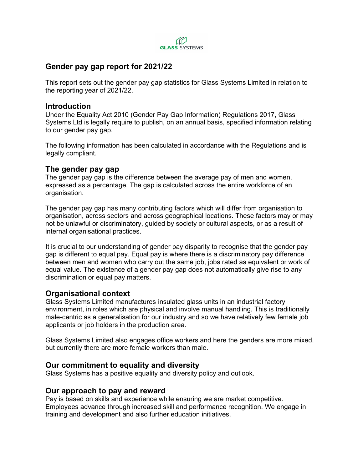

# **Gender pay gap report for 2021/22**

This report sets out the gender pay gap statistics for Glass Systems Limited in relation to the reporting year of 2021/22.

### **Introduction**

Under the Equality Act 2010 (Gender Pay Gap Information) Regulations 2017, Glass Systems Ltd is legally require to publish, on an annual basis, specified information relating to our gender pay gap.

The following information has been calculated in accordance with the Regulations and is legally compliant.

# **The gender pay gap**

The gender pay gap is the difference between the average pay of men and women, expressed as a percentage. The gap is calculated across the entire workforce of an organisation.

The gender pay gap has many contributing factors which will differ from organisation to organisation, across sectors and across geographical locations. These factors may or may not be unlawful or discriminatory, guided by society or cultural aspects, or as a result of internal organisational practices.

It is crucial to our understanding of gender pay disparity to recognise that the gender pay gap is different to equal pay. Equal pay is where there is a discriminatory pay difference between men and women who carry out the same job, jobs rated as equivalent or work of equal value. The existence of a gender pay gap does not automatically give rise to any discrimination or equal pay matters.

# **Organisational context**

Glass Systems Limited manufactures insulated glass units in an industrial factory environment, in roles which are physical and involve manual handling. This is traditionally male-centric as a generalisation for our industry and so we have relatively few female job applicants or job holders in the production area.

Glass Systems Limited also engages office workers and here the genders are more mixed, but currently there are more female workers than male.

# **Our commitment to equality and diversity**

Glass Systems has a positive equality and diversity policy and outlook.

### **Our approach to pay and reward**

Pay is based on skills and experience while ensuring we are market competitive. Employees advance through increased skill and performance recognition. We engage in training and development and also further education initiatives.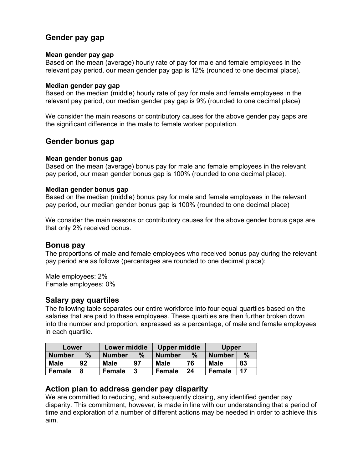# **Gender pay gap**

#### **Mean gender pay gap**

Based on the mean (average) hourly rate of pay for male and female employees in the relevant pay period, our mean gender pay gap is 12% (rounded to one decimal place).

#### **Median gender pay gap**

Based on the median (middle) hourly rate of pay for male and female employees in the relevant pay period, our median gender pay gap is 9% (rounded to one decimal place)

We consider the main reasons or contributory causes for the above gender pay gaps are the significant difference in the male to female worker population.

## **Gender bonus gap**

#### **Mean gender bonus gap**

Based on the mean (average) bonus pay for male and female employees in the relevant pay period, our mean gender bonus gap is 100% (rounded to one decimal place).

#### **Median gender bonus gap**

Based on the median (middle) bonus pay for male and female employees in the relevant pay period, our median gender bonus gap is 100% (rounded to one decimal place)

We consider the main reasons or contributory causes for the above gender bonus gaps are that only 2% received bonus.

### **Bonus pay**

The proportions of male and female employees who received bonus pay during the relevant pay period are as follows (percentages are rounded to one decimal place):

Male employees: 2% Female employees: 0%

### **Salary pay quartiles**

The following table separates our entire workforce into four equal quartiles based on the salaries that are paid to these employees. These quartiles are then further broken down into the number and proportion, expressed as a percentage, of male and female employees in each quartile.

| Lower         |      | <b>Lower middle</b> |      | Upper middle  |      | Upper         |      |
|---------------|------|---------------------|------|---------------|------|---------------|------|
| <b>Number</b> | $\%$ | <b>Number</b>       | $\%$ | <b>Number</b> | $\%$ | <b>Number</b> | $\%$ |
| <b>Male</b>   | 92   | <b>Male</b>         | 97   | <b>Male</b>   | 76   | <b>Male</b>   | 83   |
| <b>Female</b> | 8    | Female              | 3    | Female        | 24   | Female        | 17   |

### **Action plan to address gender pay disparity**

We are committed to reducing, and subsequently closing, any identified gender pay disparity. This commitment, however, is made in line with our understanding that a period of time and exploration of a number of different actions may be needed in order to achieve this aim.